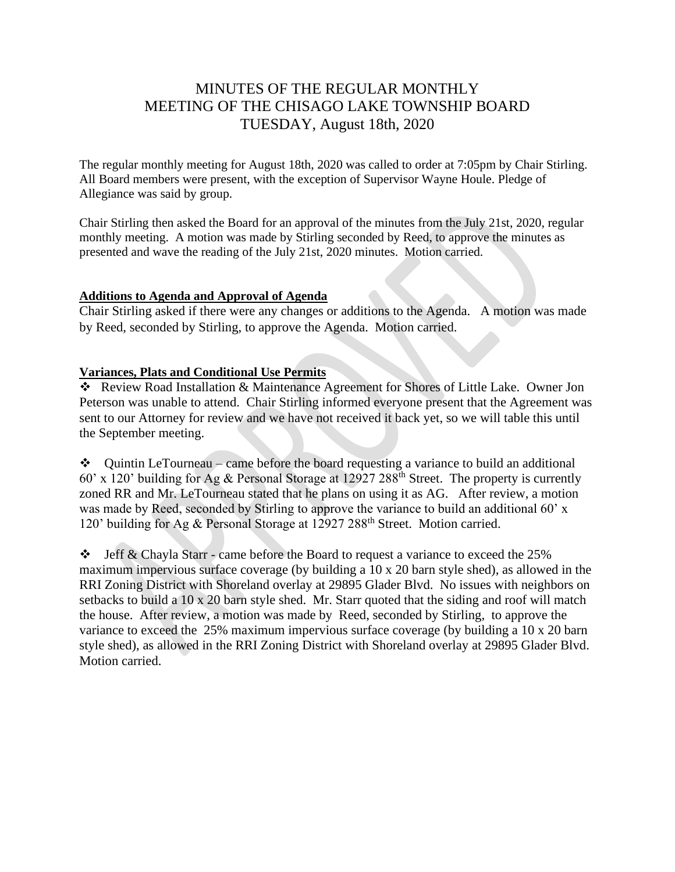# MINUTES OF THE REGULAR MONTHLY MEETING OF THE CHISAGO LAKE TOWNSHIP BOARD TUESDAY, August 18th, 2020

The regular monthly meeting for August 18th, 2020 was called to order at 7:05pm by Chair Stirling. All Board members were present, with the exception of Supervisor Wayne Houle. Pledge of Allegiance was said by group.

Chair Stirling then asked the Board for an approval of the minutes from the July 21st, 2020, regular monthly meeting. A motion was made by Stirling seconded by Reed, to approve the minutes as presented and wave the reading of the July 21st, 2020 minutes. Motion carried.

## **Additions to Agenda and Approval of Agenda**

Chair Stirling asked if there were any changes or additions to the Agenda. A motion was made by Reed, seconded by Stirling, to approve the Agenda. Motion carried.

## **Variances, Plats and Conditional Use Permits**

❖ Review Road Installation & Maintenance Agreement for Shores of Little Lake. Owner Jon Peterson was unable to attend. Chair Stirling informed everyone present that the Agreement was sent to our Attorney for review and we have not received it back yet, so we will table this until the September meeting.

❖ Quintin LeTourneau – came before the board requesting a variance to build an additional 60' x 120' building for Ag & Personal Storage at 12927 288<sup>th</sup> Street. The property is currently zoned RR and Mr. LeTourneau stated that he plans on using it as AG. After review, a motion was made by Reed, seconded by Stirling to approve the variance to build an additional 60' x 120' building for Ag & Personal Storage at 12927 288<sup>th</sup> Street. Motion carried.

 $\div$  Jeff & Chayla Starr - came before the Board to request a variance to exceed the 25% maximum impervious surface coverage (by building a 10 x 20 barn style shed), as allowed in the RRI Zoning District with Shoreland overlay at 29895 Glader Blvd. No issues with neighbors on setbacks to build a 10 x 20 barn style shed. Mr. Starr quoted that the siding and roof will match the house. After review, a motion was made by Reed, seconded by Stirling, to approve the variance to exceed the 25% maximum impervious surface coverage (by building a 10 x 20 barn style shed), as allowed in the RRI Zoning District with Shoreland overlay at 29895 Glader Blvd. Motion carried.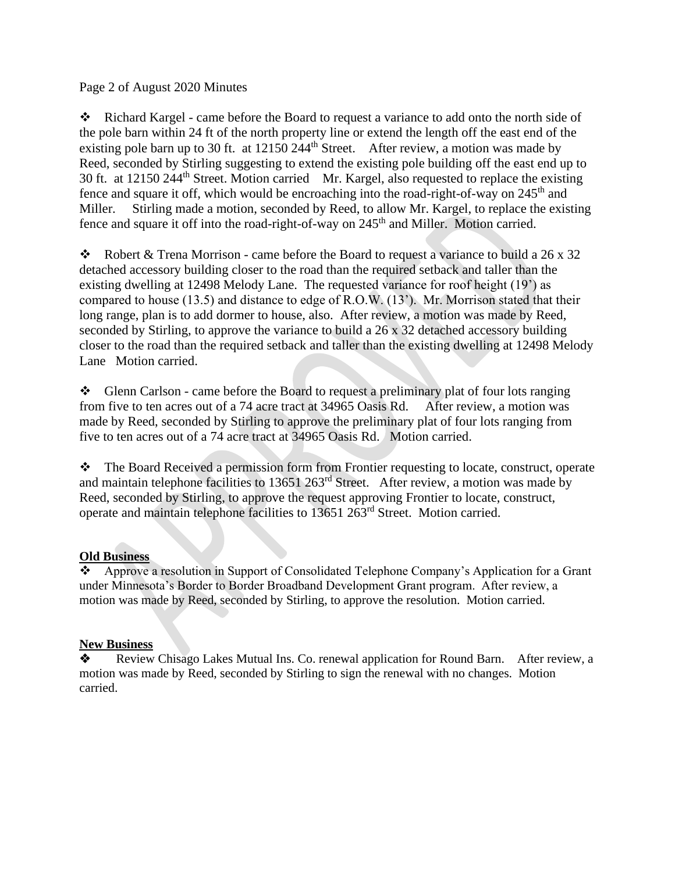Page 2 of August 2020 Minutes

❖ Richard Kargel - came before the Board to request a variance to add onto the north side of the pole barn within 24 ft of the north property line or extend the length off the east end of the existing pole barn up to 30 ft. at 12150 244<sup>th</sup> Street. After review, a motion was made by Reed, seconded by Stirling suggesting to extend the existing pole building off the east end up to 30 ft. at 12150 244<sup>th</sup> Street. Motion carried Mr. Kargel, also requested to replace the existing fence and square it off, which would be encroaching into the road-right-of-way on  $245<sup>th</sup>$  and Miller. Stirling made a motion, seconded by Reed, to allow Mr. Kargel, to replace the existing fence and square it off into the road-right-of-way on 245<sup>th</sup> and Miller. Motion carried.

❖ Robert & Trena Morrison - came before the Board to request a variance to build a 26 x 32 detached accessory building closer to the road than the required setback and taller than the existing dwelling at 12498 Melody Lane. The requested variance for roof height (19') as compared to house (13.5) and distance to edge of R.O.W. (13'). Mr. Morrison stated that their long range, plan is to add dormer to house, also. After review, a motion was made by Reed, seconded by Stirling, to approve the variance to build a 26 x 32 detached accessory building closer to the road than the required setback and taller than the existing dwelling at 12498 Melody Lane Motion carried.

❖ Glenn Carlson - came before the Board to request a preliminary plat of four lots ranging from five to ten acres out of a 74 acre tract at 34965 Oasis Rd. After review, a motion was made by Reed, seconded by Stirling to approve the preliminary plat of four lots ranging from five to ten acres out of a 74 acre tract at 34965 Oasis Rd. Motion carried.

❖ The Board Received a permission form from Frontier requesting to locate, construct, operate and maintain telephone facilities to 13651 263rd Street. After review, a motion was made by Reed, seconded by Stirling, to approve the request approving Frontier to locate, construct, operate and maintain telephone facilities to 13651 263rd Street. Motion carried.

## **Old Business**

❖ Approve a resolution in Support of Consolidated Telephone Company's Application for a Grant under Minnesota's Border to Border Broadband Development Grant program. After review, a motion was made by Reed, seconded by Stirling, to approve the resolution. Motion carried.

## **New Business**

❖ Review Chisago Lakes Mutual Ins. Co. renewal application for Round Barn. After review, a motion was made by Reed, seconded by Stirling to sign the renewal with no changes. Motion carried.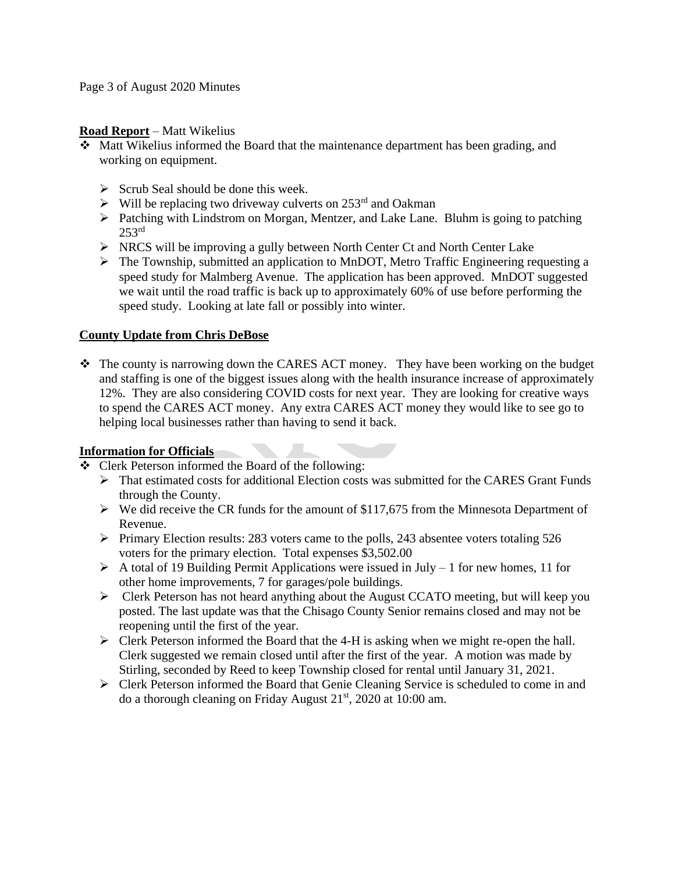Page 3 of August 2020 Minutes

#### **Road Report** – Matt Wikelius

- ❖ Matt Wikelius informed the Board that the maintenance department has been grading, and working on equipment.
	- $\triangleright$  Scrub Seal should be done this week.
	- $\triangleright$  Will be replacing two driveway culverts on 253<sup>rd</sup> and Oakman
	- ➢ Patching with Lindstrom on Morgan, Mentzer, and Lake Lane. Bluhm is going to patching  $253<sup>rd</sup>$
	- ➢ NRCS will be improving a gully between North Center Ct and North Center Lake
	- ➢ The Township, submitted an application to MnDOT, Metro Traffic Engineering requesting a speed study for Malmberg Avenue. The application has been approved. MnDOT suggested we wait until the road traffic is back up to approximately 60% of use before performing the speed study. Looking at late fall or possibly into winter.

## **County Update from Chris DeBose**

❖ The county is narrowing down the CARES ACT money. They have been working on the budget and staffing is one of the biggest issues along with the health insurance increase of approximately 12%. They are also considering COVID costs for next year. They are looking for creative ways to spend the CARES ACT money. Any extra CARES ACT money they would like to see go to helping local businesses rather than having to send it back.

## **Information for Officials**

- ❖ Clerk Peterson informed the Board of the following:
	- ➢ That estimated costs for additional Election costs was submitted for the CARES Grant Funds through the County.
	- $\triangleright$  We did receive the CR funds for the amount of \$117,675 from the Minnesota Department of Revenue.
	- ➢ Primary Election results: 283 voters came to the polls, 243 absentee voters totaling 526 voters for the primary election. Total expenses \$3,502.00
	- $\triangleright$  A total of 19 Building Permit Applications were issued in July 1 for new homes, 11 for other home improvements, 7 for garages/pole buildings.
	- $\triangleright$  Clerk Peterson has not heard anything about the August CCATO meeting, but will keep you posted. The last update was that the Chisago County Senior remains closed and may not be reopening until the first of the year.
	- $\triangleright$  Clerk Peterson informed the Board that the 4-H is asking when we might re-open the hall. Clerk suggested we remain closed until after the first of the year. A motion was made by Stirling, seconded by Reed to keep Township closed for rental until January 31, 2021.
	- ➢ Clerk Peterson informed the Board that Genie Cleaning Service is scheduled to come in and do a thorough cleaning on Friday August  $21<sup>st</sup>$ , 2020 at 10:00 am.